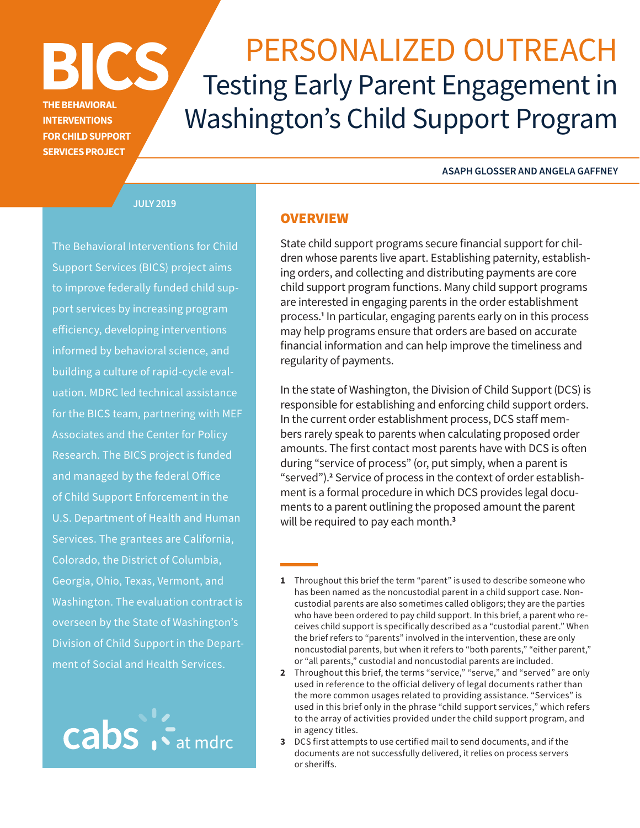# **BICS PERSONALIZED OUTREACH** Washington's Child Support Program

**ASAPH GLOSSER AND ANGELA GAFFNEY**

**JULY 2019**

**THE BEHAVIORAL INTERVENTIONS FOR CHILD SUPPORT SERVICES PROJECT**

The Behavioral Interventions for Child Support Services (BICS) project aims to improve federally funded child support services by increasing program efficiency, developing interventions informed by behavioral science, and building a culture of rapid-cycle evaluation. MDRC led technical assistance for the BICS team, partnering with MEF Associates and the Center for Policy Research. The BICS project is funded and managed by the federal Office of Child Support Enforcement in the U.S. Department of Health and Human Services. The grantees are California, Colorado, the District of Columbia, Georgia, Ohio, Texas, Vermont, and Washington. The evaluation contract is overseen by the State of Washington's Division of Child Support in the Department of Social and Health Services.



# **OVERVIEW**

State child support programs secure financial support for children whose parents live apart. Establishing paternity, establishing orders, and collecting and distributing payments are core child support program functions. Many child support programs are interested in engaging parents in the order establishment process.**<sup>1</sup>** In particular, engaging parents early on in this process may help programs ensure that orders are based on accurate financial information and can help improve the timeliness and regularity of payments.

In the state of Washington, the Division of Child Support (DCS) is responsible for establishing and enforcing child support orders. In the current order establishment process, DCS staff members rarely speak to parents when calculating proposed order amounts. The first contact most parents have with DCS is often during "service of process" (or, put simply, when a parent is "served").<sup>2</sup> Service of process in the context of order establishment is a formal procedure in which DCS provides legal documents to a parent outlining the proposed amount the parent will be required to pay each month.**<sup>3</sup>**

- **2** Throughout this brief, the terms "service," "serve," and "served" are only used in reference to the official delivery of legal documents rather than the more common usages related to providing assistance. "Services" is used in this brief only in the phrase "child support services," which refers to the array of activities provided under the child support program, and in agency titles.
- **3** DCS first attempts to use certified mail to send documents, and if the documents are not successfully delivered, it relies on process servers or sheriffs.

**<sup>1</sup>** Throughout this brief the term "parent" is used to describe someone who has been named as the noncustodial parent in a child support case. Noncustodial parents are also sometimes called obligors; they are the parties who have been ordered to pay child support. In this brief, a parent who receives child support is specifically described as a "custodial parent." When the brief refers to "parents" involved in the intervention, these are only noncustodial parents, but when it refers to "both parents," "either parent," or "all parents," custodial and noncustodial parents are included.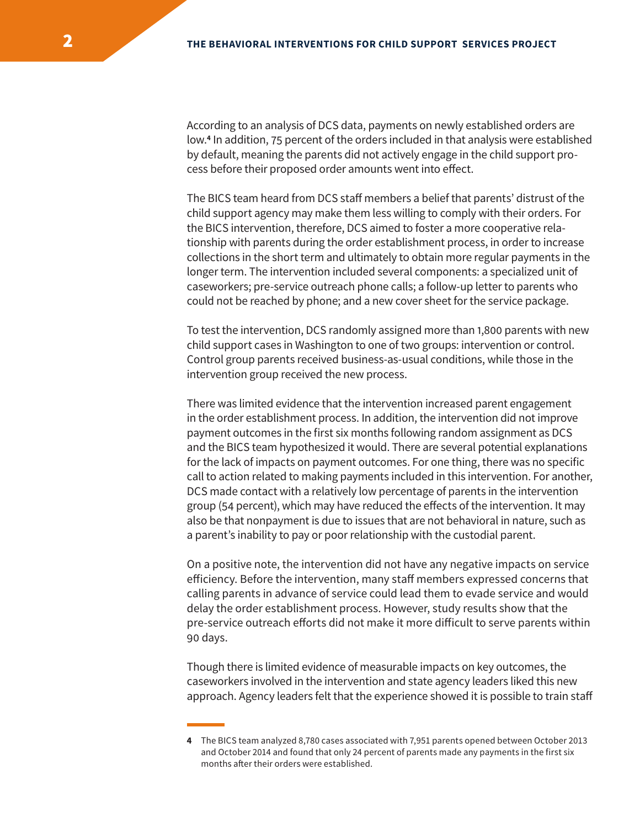According to an analysis of DCS data, payments on newly established orders are low.**<sup>4</sup>** In addition, 75 percent of the orders included in that analysis were established by default, meaning the parents did not actively engage in the child support process before their proposed order amounts went into effect.

The BICS team heard from DCS staff members a belief that parents' distrust of the child support agency may make them less willing to comply with their orders. For the BICS intervention, therefore, DCS aimed to foster a more cooperative relationship with parents during the order establishment process, in order to increase collections in the short term and ultimately to obtain more regular payments in the longer term. The intervention included several components: a specialized unit of caseworkers; pre-service outreach phone calls; a follow-up letter to parents who could not be reached by phone; and a new cover sheet for the service package.

To test the intervention, DCS randomly assigned more than 1,800 parents with new child support cases in Washington to one of two groups: intervention or control. Control group parents received business-as-usual conditions, while those in the intervention group received the new process.

There was limited evidence that the intervention increased parent engagement in the order establishment process. In addition, the intervention did not improve payment outcomes in the first six months following random assignment as DCS and the BICS team hypothesized it would. There are several potential explanations for the lack of impacts on payment outcomes. For one thing, there was no specific call to action related to making payments included in this intervention. For another, DCS made contact with a relatively low percentage of parents in the intervention group (54 percent), which may have reduced the effects of the intervention. It may also be that nonpayment is due to issues that are not behavioral in nature, such as a parent's inability to pay or poor relationship with the custodial parent.

On a positive note, the intervention did not have any negative impacts on service efficiency. Before the intervention, many staff members expressed concerns that calling parents in advance of service could lead them to evade service and would delay the order establishment process. However, study results show that the pre-service outreach efforts did not make it more difficult to serve parents within 90 days.

Though there is limited evidence of measurable impacts on key outcomes, the caseworkers involved in the intervention and state agency leaders liked this new approach. Agency leaders felt that the experience showed it is possible to train staff

**<sup>4</sup>** The BICS team analyzed 8,780 cases associated with 7,951 parents opened between October 2013 and October 2014 and found that only 24 percent of parents made any payments in the first six months after their orders were established.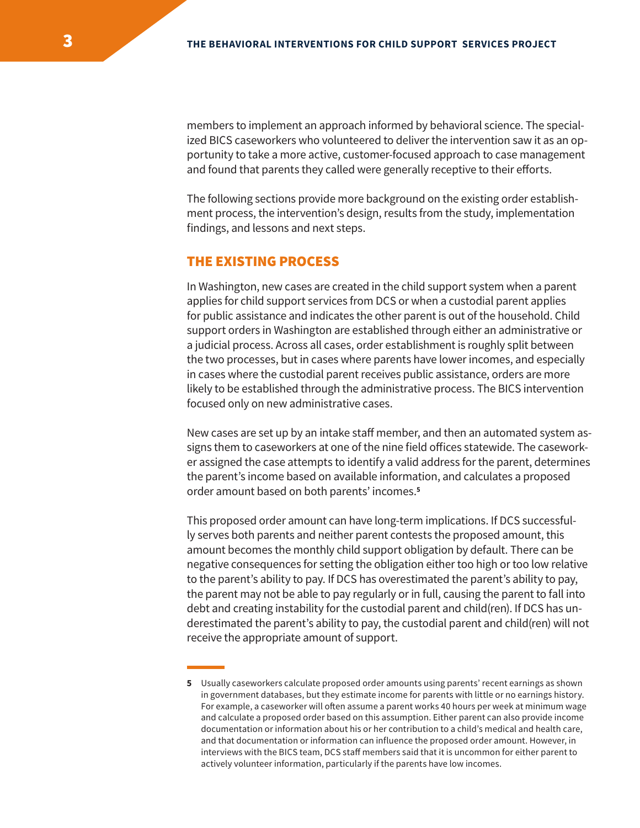members to implement an approach informed by behavioral science. The specialized BICS caseworkers who volunteered to deliver the intervention saw it as an opportunity to take a more active, customer-focused approach to case management and found that parents they called were generally receptive to their efforts.

The following sections provide more background on the existing order establishment process, the intervention's design, results from the study, implementation findings, and lessons and next steps.

## THE EXISTING PROCESS

In Washington, new cases are created in the child support system when a parent applies for child support services from DCS or when a custodial parent applies for public assistance and indicates the other parent is out of the household. Child support orders in Washington are established through either an administrative or a judicial process. Across all cases, order establishment is roughly split between the two processes, but in cases where parents have lower incomes, and especially in cases where the custodial parent receives public assistance, orders are more likely to be established through the administrative process. The BICS intervention focused only on new administrative cases.

New cases are set up by an intake staff member, and then an automated system assigns them to caseworkers at one of the nine field offices statewide. The caseworker assigned the case attempts to identify a valid address for the parent, determines the parent's income based on available information, and calculates a proposed order amount based on both parents' incomes.**<sup>5</sup>**

This proposed order amount can have long-term implications. If DCS successfully serves both parents and neither parent contests the proposed amount, this amount becomes the monthly child support obligation by default. There can be negative consequences for setting the obligation either too high or too low relative to the parent's ability to pay. If DCS has overestimated the parent's ability to pay, the parent may not be able to pay regularly or in full, causing the parent to fall into debt and creating instability for the custodial parent and child(ren). If DCS has underestimated the parent's ability to pay, the custodial parent and child(ren) will not receive the appropriate amount of support.

**<sup>5</sup>** Usually caseworkers calculate proposed order amounts using parents' recent earnings as shown in government databases, but they estimate income for parents with little or no earnings history. For example, a caseworker will often assume a parent works 40 hours per week at minimum wage and calculate a proposed order based on this assumption. Either parent can also provide income documentation or information about his or her contribution to a child's medical and health care, and that documentation or information can influence the proposed order amount. However, in interviews with the BICS team, DCS staff members said that it is uncommon for either parent to actively volunteer information, particularly if the parents have low incomes.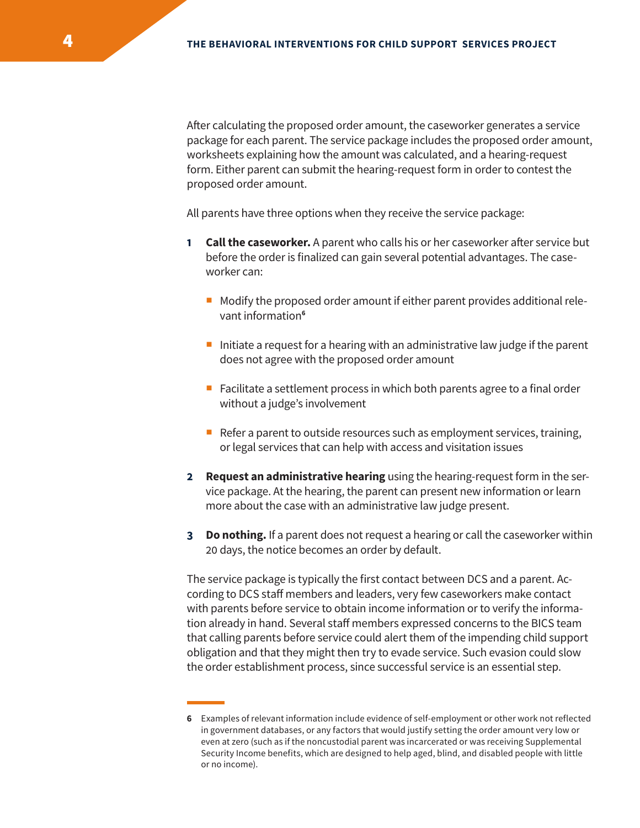After calculating the proposed order amount, the caseworker generates a service package for each parent. The service package includes the proposed order amount, worksheets explaining how the amount was calculated, and a hearing-request form. Either parent can submit the hearing-request form in order to contest the proposed order amount.

All parents have three options when they receive the service package:

- **1 Call the caseworker.** A parent who calls his or her caseworker after service but before the order is finalized can gain several potential advantages. The caseworker can:
	- $\blacksquare$  Modify the proposed order amount if either parent provides additional relevant information**<sup>6</sup>**
	- Initiate a request for a hearing with an administrative law judge if the parent does not agree with the proposed order amount
	- Facilitate a settlement process in which both parents agree to a final order without a judge's involvement
	- Refer a parent to outside resources such as employment services, training, or legal services that can help with access and visitation issues
- **2 Request an administrative hearing** using the hearing-request form in the service package. At the hearing, the parent can present new information or learn more about the case with an administrative law judge present.
- **3 Do nothing.** If a parent does not request a hearing or call the caseworker within 20 days, the notice becomes an order by default.

The service package is typically the first contact between DCS and a parent. According to DCS staff members and leaders, very few caseworkers make contact with parents before service to obtain income information or to verify the information already in hand. Several staff members expressed concerns to the BICS team that calling parents before service could alert them of the impending child support obligation and that they might then try to evade service. Such evasion could slow the order establishment process, since successful service is an essential step.

**<sup>6</sup>** Examples of relevant information include evidence of self-employment or other work not reflected in government databases, or any factors that would justify setting the order amount very low or even at zero (such as if the noncustodial parent was incarcerated or was receiving Supplemental Security Income benefits, which are designed to help aged, blind, and disabled people with little or no income).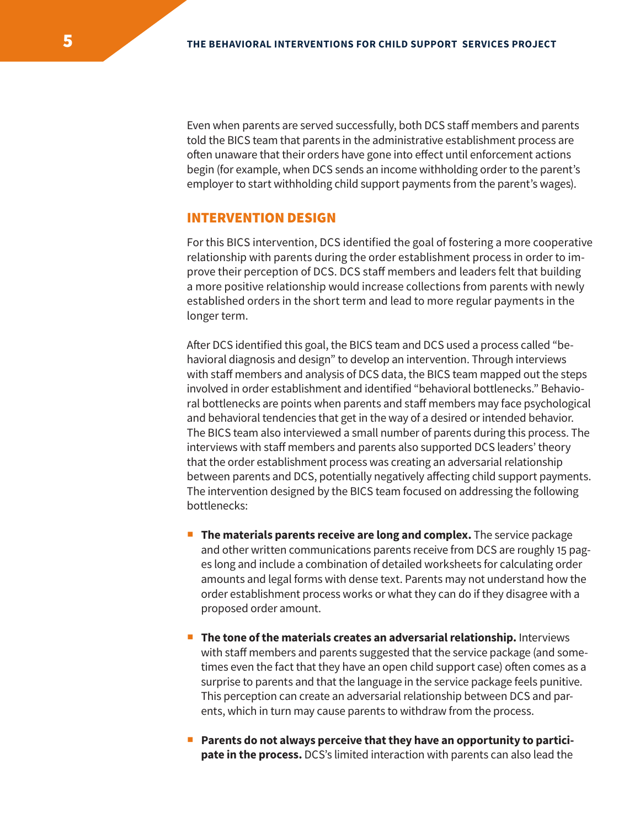Even when parents are served successfully, both DCS staff members and parents told the BICS team that parents in the administrative establishment process are often unaware that their orders have gone into effect until enforcement actions begin (for example, when DCS sends an income withholding order to the parent's employer to start withholding child support payments from the parent's wages).

## INTERVENTION DESIGN

For this BICS intervention, DCS identified the goal of fostering a more cooperative relationship with parents during the order establishment process in order to improve their perception of DCS. DCS staff members and leaders felt that building a more positive relationship would increase collections from parents with newly established orders in the short term and lead to more regular payments in the longer term.

After DCS identified this goal, the BICS team and DCS used a process called "behavioral diagnosis and design" to develop an intervention. Through interviews with staff members and analysis of DCS data, the BICS team mapped out the steps involved in order establishment and identified "behavioral bottlenecks." Behavioral bottlenecks are points when parents and staff members may face psychological and behavioral tendencies that get in the way of a desired or intended behavior. The BICS team also interviewed a small number of parents during this process. The interviews with staff members and parents also supported DCS leaders' theory that the order establishment process was creating an adversarial relationship between parents and DCS, potentially negatively affecting child support payments. The intervention designed by the BICS team focused on addressing the following bottlenecks:

- **The materials parents receive are long and complex.** The service package and other written communications parents receive from DCS are roughly 15 pages long and include a combination of detailed worksheets for calculating order amounts and legal forms with dense text. Parents may not understand how the order establishment process works or what they can do if they disagree with a proposed order amount.
- **The tone of the materials creates an adversarial relationship.** Interviews with staff members and parents suggested that the service package (and sometimes even the fact that they have an open child support case) often comes as a surprise to parents and that the language in the service package feels punitive. This perception can create an adversarial relationship between DCS and parents, which in turn may cause parents to withdraw from the process.
- **Parents do not always perceive that they have an opportunity to participate in the process.** DCS's limited interaction with parents can also lead the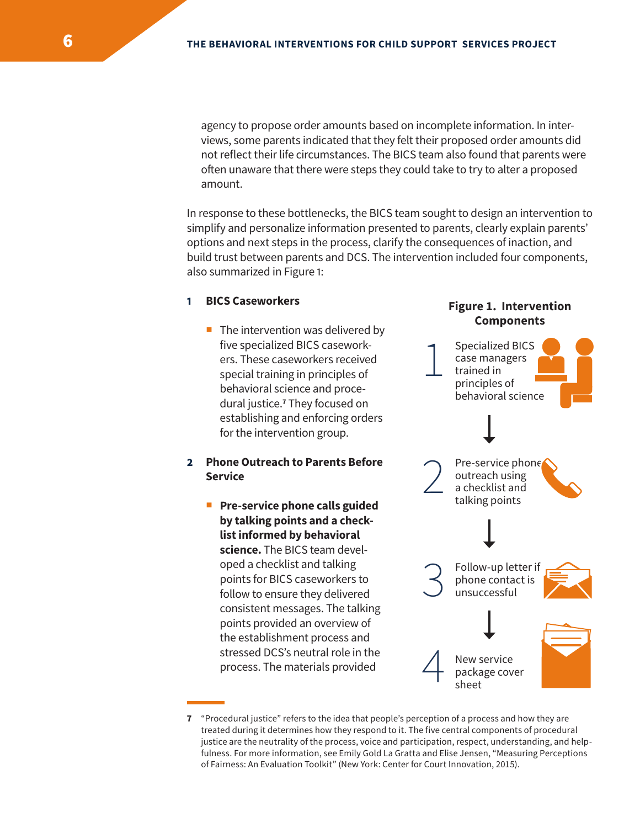agency to propose order amounts based on incomplete information. In interviews, some parents indicated that they felt their proposed order amounts did not reflect their life circumstances. The BICS team also found that parents were often unaware that there were steps they could take to try to alter a proposed amount.

In response to these bottlenecks, the BICS team sought to design an intervention to simplify and personalize information presented to parents, clearly explain parents' options and next steps in the process, clarify the consequences of inaction, and build trust between parents and DCS. The intervention included four components, also summarized in Figure 1:

#### **1 BICS Caseworkers**

 $\blacksquare$  The intervention was delivered by five specialized BICS caseworkers. These caseworkers received special training in principles of behavioral science and procedural justice.**<sup>7</sup>** They focused on establishing and enforcing orders for the intervention group.

## **2 Phone Outreach to Parents Before Service**

**Pre-service phone calls guided by talking points and a checklist informed by behavioral science.** The BICS team developed a checklist and talking points for BICS caseworkers to follow to ensure they delivered consistent messages. The talking points provided an overview of the establishment process and stressed DCS's neutral role in the process. The materials provided





**<sup>7</sup>** "Procedural justice" refers to the idea that people's perception of a process and how they are treated during it determines how they respond to it. The five central components of procedural justice are the neutrality of the process, voice and participation, respect, understanding, and helpfulness. For more information, see Emily Gold La Gratta and Elise Jensen, "Measuring Perceptions of Fairness: An Evaluation Toolkit" (New York: Center for Court Innovation, 2015).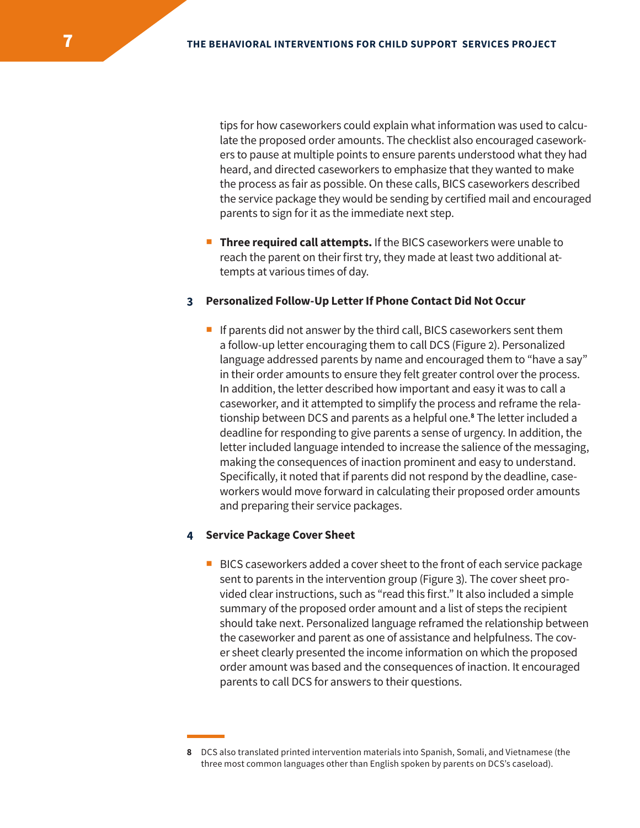tips for how caseworkers could explain what information was used to calculate the proposed order amounts. The checklist also encouraged caseworkers to pause at multiple points to ensure parents understood what they had heard, and directed caseworkers to emphasize that they wanted to make the process as fair as possible. On these calls, BICS caseworkers described the service package they would be sending by certified mail and encouraged parents to sign for it as the immediate next step.

**Three required call attempts.** If the BICS caseworkers were unable to reach the parent on their first try, they made at least two additional attempts at various times of day.

#### **3 Personalized Follow-Up Letter If Phone Contact Did Not Occur**

If parents did not answer by the third call, BICS caseworkers sent them a follow-up letter encouraging them to call DCS (Figure 2). Personalized language addressed parents by name and encouraged them to "have a say" in their order amounts to ensure they felt greater control over the process. In addition, the letter described how important and easy it was to call a caseworker, and it attempted to simplify the process and reframe the relationship between DCS and parents as a helpful one.**<sup>8</sup>** The letter included a deadline for responding to give parents a sense of urgency. In addition, the letter included language intended to increase the salience of the messaging, making the consequences of inaction prominent and easy to understand. Specifically, it noted that if parents did not respond by the deadline, caseworkers would move forward in calculating their proposed order amounts and preparing their service packages.

#### **4 Service Package Cover Sheet**

BICS caseworkers added a cover sheet to the front of each service package sent to parents in the intervention group (Figure 3). The cover sheet provided clear instructions, such as "read this first." It also included a simple summary of the proposed order amount and a list of steps the recipient should take next. Personalized language reframed the relationship between the caseworker and parent as one of assistance and helpfulness. The cover sheet clearly presented the income information on which the proposed order amount was based and the consequences of inaction. It encouraged parents to call DCS for answers to their questions.

**<sup>8</sup>** DCS also translated printed intervention materials into Spanish, Somali, and Vietnamese (the three most common languages other than English spoken by parents on DCS's caseload).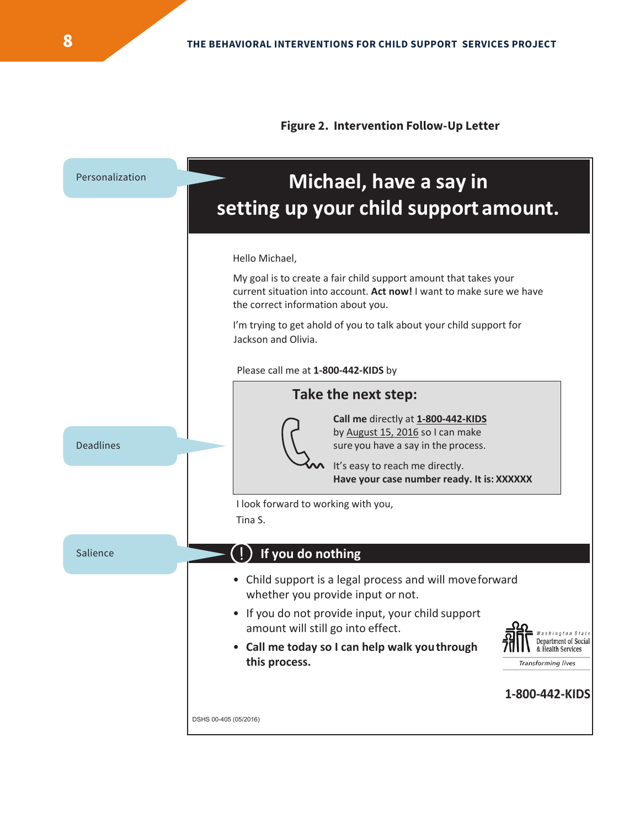

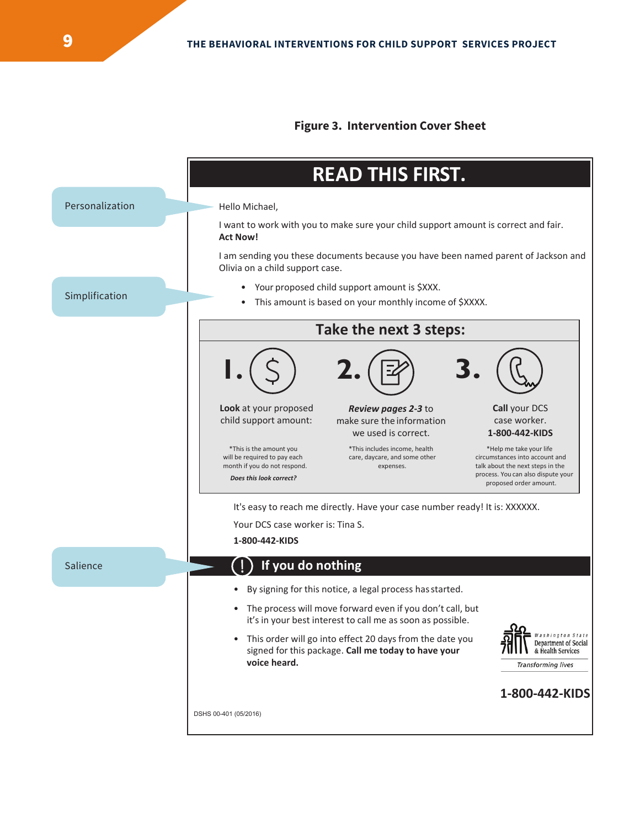#### **Figure 3. Intervention Cover Sheet**

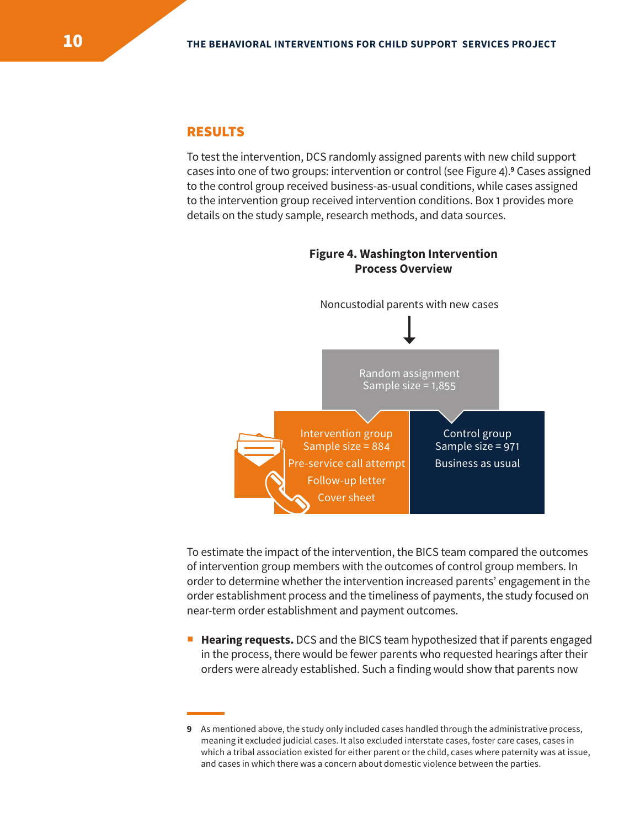# RESULTS

To test the intervention, DCS randomly assigned parents with new child support cases into one of two groups: intervention or control (see Figure 4).**<sup>9</sup>** Cases assigned to the control group received business-as-usual conditions, while cases assigned to the intervention group received intervention conditions. Box 1 provides more details on the study sample, research methods, and data sources.

**Figure 4. Washington Intervention**



To estimate the impact of the intervention, the BICS team compared the outcomes of intervention group members with the outcomes of control group members. In order to determine whether the intervention increased parents' engagement in the order establishment process and the timeliness of payments, the study focused on near-term order establishment and payment outcomes.

**Hearing requests.** DCS and the BICS team hypothesized that if parents engaged in the process, there would be fewer parents who requested hearings after their orders were already established. Such a finding would show that parents now

**<sup>9</sup>** As mentioned above, the study only included cases handled through the administrative process, meaning it excluded judicial cases. It also excluded interstate cases, foster care cases, cases in which a tribal association existed for either parent or the child, cases where paternity was at issue, and cases in which there was a concern about domestic violence between the parties.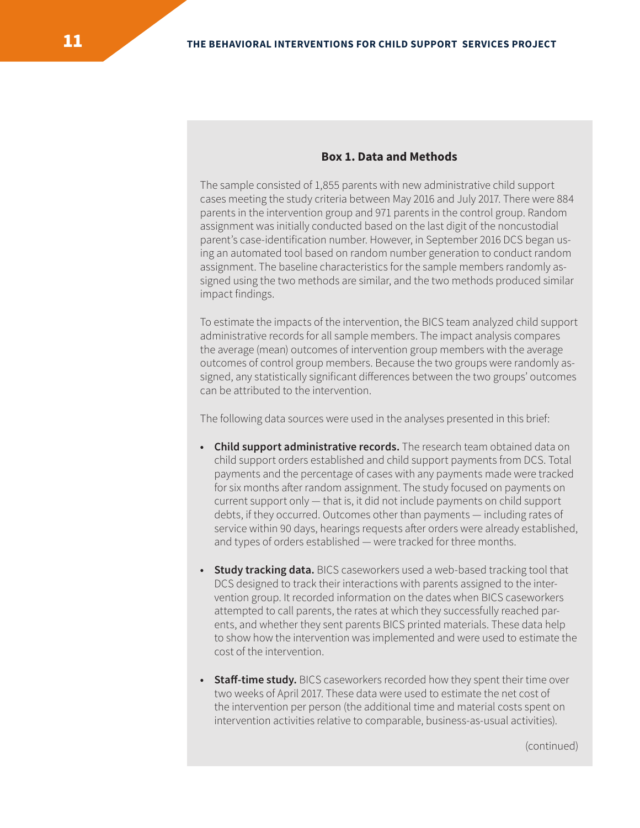#### **Box 1. Data and Methods**

The sample consisted of 1,855 parents with new administrative child support cases meeting the study criteria between May 2016 and July 2017. There were 884 parents in the intervention group and 971 parents in the control group. Random assignment was initially conducted based on the last digit of the noncustodial parent's case-identification number. However, in September 2016 DCS began using an automated tool based on random number generation to conduct random assignment. The baseline characteristics for the sample members randomly assigned using the two methods are similar, and the two methods produced similar impact findings.

To estimate the impacts of the intervention, the BICS team analyzed child support administrative records for all sample members. The impact analysis compares the average (mean) outcomes of intervention group members with the average outcomes of control group members. Because the two groups were randomly assigned, any statistically significant differences between the two groups' outcomes can be attributed to the intervention.

The following data sources were used in the analyses presented in this brief:

- **• Child support administrative records.** The research team obtained data on child support orders established and child support payments from DCS. Total payments and the percentage of cases with any payments made were tracked for six months after random assignment. The study focused on payments on current support only — that is, it did not include payments on child support debts, if they occurred. Outcomes other than payments — including rates of service within 90 days, hearings requests after orders were already established, and types of orders established — were tracked for three months.
- **• Study tracking data.** BICS caseworkers used a web-based tracking tool that DCS designed to track their interactions with parents assigned to the intervention group. It recorded information on the dates when BICS caseworkers attempted to call parents, the rates at which they successfully reached parents, and whether they sent parents BICS printed materials. These data help to show how the intervention was implemented and were used to estimate the cost of the intervention.
- **• Staff-time study.** BICS caseworkers recorded how they spent their time over two weeks of April 2017. These data were used to estimate the net cost of the intervention per person (the additional time and material costs spent on intervention activities relative to comparable, business-as-usual activities).

(continued)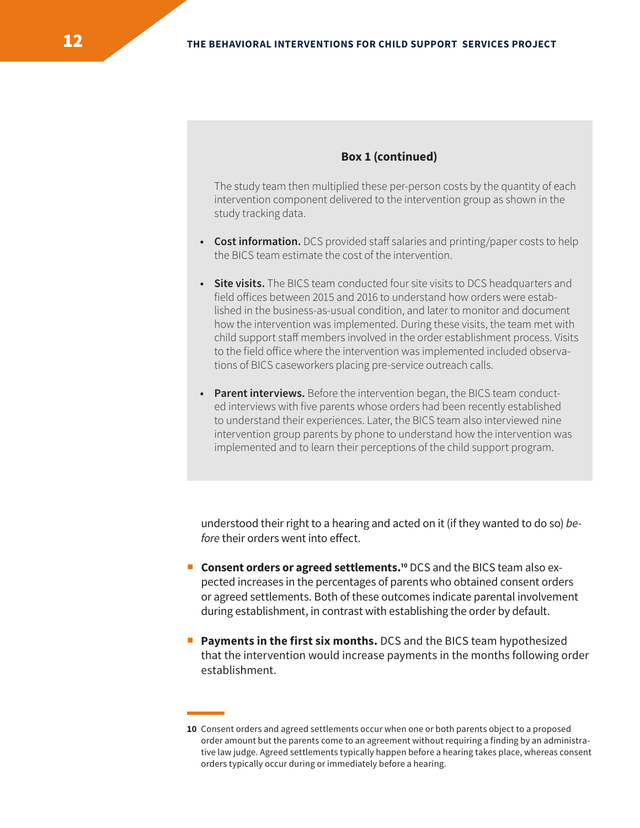#### **Box 1 (continued)**

The study team then multiplied these per-person costs by the quantity of each intervention component delivered to the intervention group as shown in the study tracking data.

- **• Cost information.** DCS provided staff salaries and printing/paper costs to help the BICS team estimate the cost of the intervention.
- **• Site visits.** The BICS team conducted four site visits to DCS headquarters and field offices between 2015 and 2016 to understand how orders were established in the business-as-usual condition, and later to monitor and document how the intervention was implemented. During these visits, the team met with child support staff members involved in the order establishment process. Visits to the field office where the intervention was implemented included observations of BICS caseworkers placing pre-service outreach calls.
- **• Parent interviews.** Before the intervention began, the BICS team conducted interviews with five parents whose orders had been recently established to understand their experiences. Later, the BICS team also interviewed nine intervention group parents by phone to understand how the intervention was implemented and to learn their perceptions of the child support program.

understood their right to a hearing and acted on it (if they wanted to do so) *before* their orders went into effect.

- **Consent orders or agreed settlements.<sup>10</sup> DCS and the BICS team also ex**pected increases in the percentages of parents who obtained consent orders or agreed settlements. Both of these outcomes indicate parental involvement during establishment, in contrast with establishing the order by default.
- **Payments in the first six months.** DCS and the BICS team hypothesized that the intervention would increase payments in the months following order establishment.

**<sup>10</sup>** Consent orders and agreed settlements occur when one or both parents object to a proposed order amount but the parents come to an agreement without requiring a finding by an administrative law judge. Agreed settlements typically happen before a hearing takes place, whereas consent orders typically occur during or immediately before a hearing.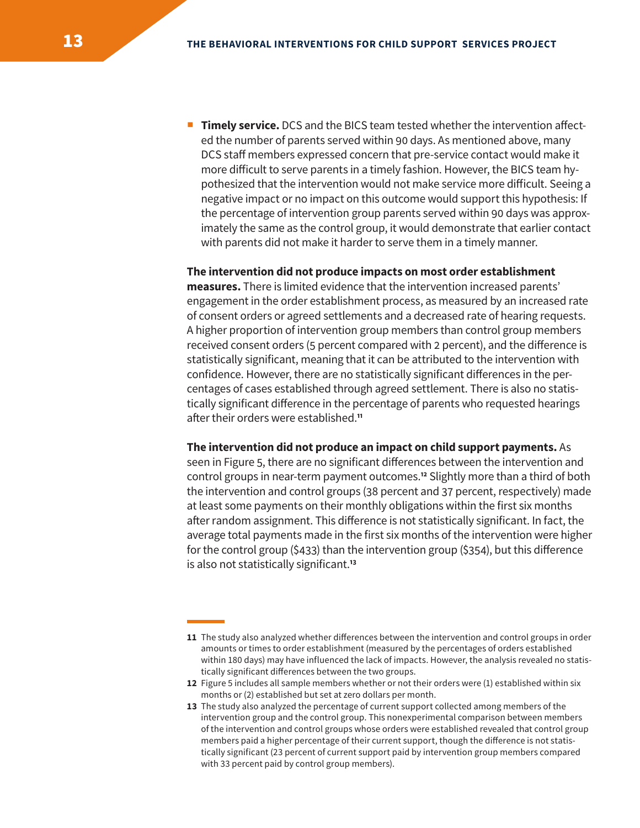**Timely service.** DCS and the BICS team tested whether the intervention affected the number of parents served within 90 days. As mentioned above, many DCS staff members expressed concern that pre-service contact would make it more difficult to serve parents in a timely fashion. However, the BICS team hypothesized that the intervention would not make service more difficult. Seeing a negative impact or no impact on this outcome would support this hypothesis: If the percentage of intervention group parents served within 90 days was approximately the same as the control group, it would demonstrate that earlier contact with parents did not make it harder to serve them in a timely manner.

#### **The intervention did not produce impacts on most order establishment**

**measures.** There is limited evidence that the intervention increased parents' engagement in the order establishment process, as measured by an increased rate of consent orders or agreed settlements and a decreased rate of hearing requests. A higher proportion of intervention group members than control group members received consent orders (5 percent compared with 2 percent), and the difference is statistically significant, meaning that it can be attributed to the intervention with confidence. However, there are no statistically significant differences in the percentages of cases established through agreed settlement. There is also no statistically significant difference in the percentage of parents who requested hearings after their orders were established.**<sup>11</sup>**

#### **The intervention did not produce an impact on child support payments.** As

seen in Figure 5, there are no significant differences between the intervention and control groups in near-term payment outcomes.**<sup>12</sup>** Slightly more than a third of both the intervention and control groups (38 percent and 37 percent, respectively) made at least some payments on their monthly obligations within the first six months after random assignment. This difference is not statistically significant. In fact, the average total payments made in the first six months of the intervention were higher for the control group (\$433) than the intervention group (\$354), but this difference is also not statistically significant.**<sup>13</sup>**

- **12** Figure 5 includes all sample members whether or not their orders were (1) established within six months or (2) established but set at zero dollars per month.
- **13** The study also analyzed the percentage of current support collected among members of the intervention group and the control group. This nonexperimental comparison between members of the intervention and control groups whose orders were established revealed that control group members paid a higher percentage of their current support, though the difference is not statistically significant (23 percent of current support paid by intervention group members compared with 33 percent paid by control group members).

**<sup>11</sup>** The study also analyzed whether differences between the intervention and control groups in order amounts or times to order establishment (measured by the percentages of orders established within 180 days) may have influenced the lack of impacts. However, the analysis revealed no statistically significant differences between the two groups.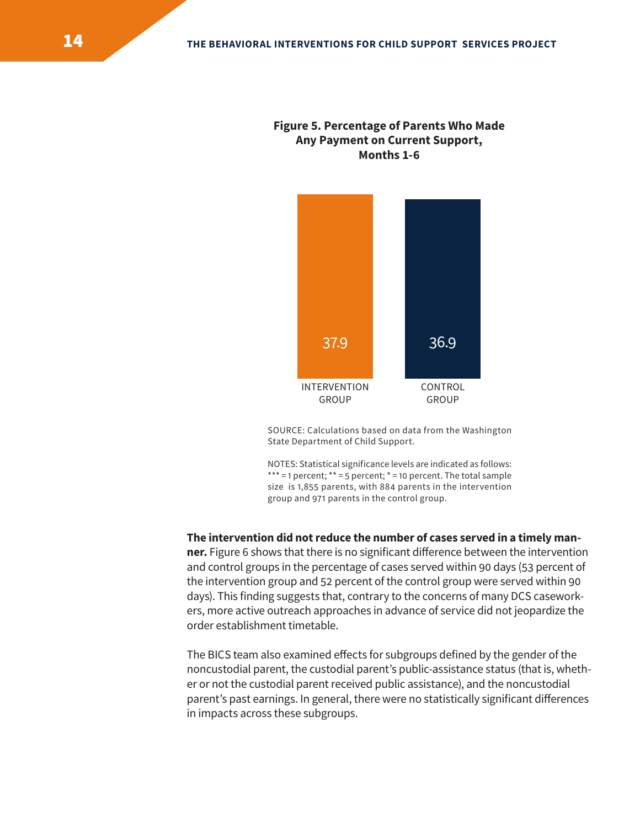# **Figure 5. Percentage of Parents Who Made Any Payment on Current Support, Months 1-6**



SOURCE: Calculations based on data from the Washington State Department of Child Support.

NOTES: Statistical significance levels are indicated as follows: \*\*\* = 1 percent;  $*$  = 5 percent;  $*$  = 10 percent. The total sample size is 1,855 parents, with 884 parents in the intervention group and 971 parents in the control group.

#### **The intervention did not reduce the number of cases served in a timely man-**

**ner.** Figure 6 shows that there is no significant difference between the intervention and control groups in the percentage of cases served within 90 days (53 percent of the intervention group and 52 percent of the control group were served within 90 days). This finding suggests that, contrary to the concerns of many DCS caseworkers, more active outreach approaches in advance of service did not jeopardize the order establishment timetable.

The BICS team also examined effects for subgroups defined by the gender of the noncustodial parent, the custodial parent's public-assistance status (that is, whether or not the custodial parent received public assistance), and the noncustodial parent's past earnings. In general, there were no statistically significant differences in impacts across these subgroups.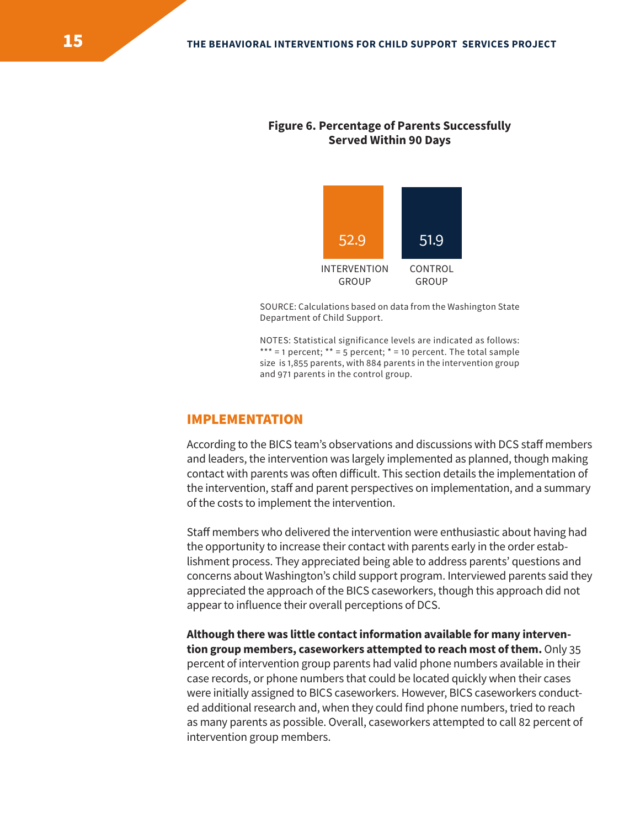## **Figure 6. Percentage of Parents Successfully Served Within 90 Days**



SOURCE: Calculations based on data from the Washington State Department of Child Support.

NOTES: Statistical significance levels are indicated as follows: \*\*\* = 1 percent;  $**$  = 5 percent;  $*$  = 10 percent. The total sample size is 1,855 parents, with 884 parents in the intervention group and 971 parents in the control group.

## IMPLEMENTATION

According to the BICS team's observations and discussions with DCS staff members and leaders, the intervention was largely implemented as planned, though making contact with parents was often difficult. This section details the implementation of the intervention, staff and parent perspectives on implementation, and a summary of the costs to implement the intervention.

Staff members who delivered the intervention were enthusiastic about having had the opportunity to increase their contact with parents early in the order establishment process. They appreciated being able to address parents' questions and concerns about Washington's child support program. Interviewed parents said they appreciated the approach of the BICS caseworkers, though this approach did not appear to influence their overall perceptions of DCS.

**Although there was little contact information available for many intervention group members, caseworkers attempted to reach most of them.** Only 35 percent of intervention group parents had valid phone numbers available in their case records, or phone numbers that could be located quickly when their cases were initially assigned to BICS caseworkers. However, BICS caseworkers conducted additional research and, when they could find phone numbers, tried to reach as many parents as possible. Overall, caseworkers attempted to call 82 percent of intervention group members.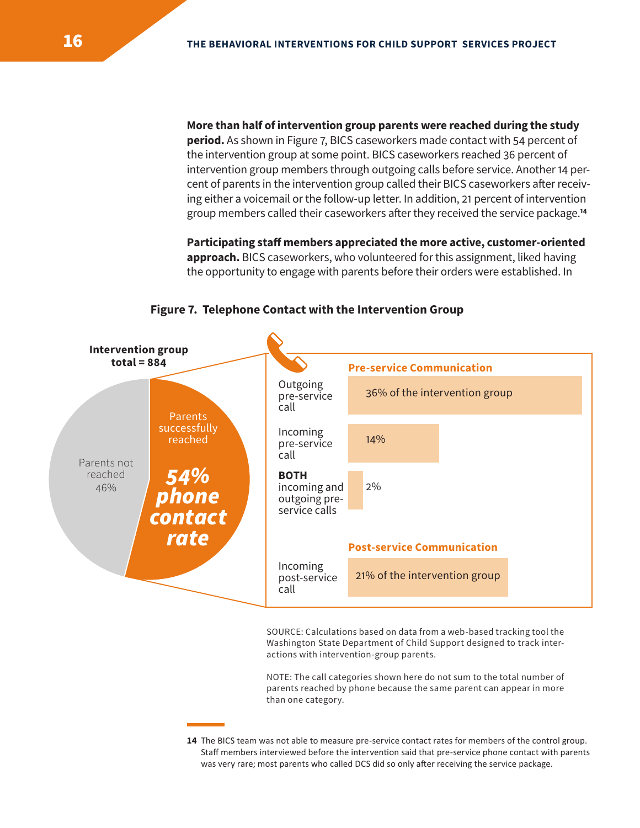**More than half of intervention group parents were reached during the study period.** As shown in Figure 7, BICS caseworkers made contact with 54 percent of the intervention group at some point. BICS caseworkers reached 36 percent of intervention group members through outgoing calls before service. Another 14 percent of parents in the intervention group called their BICS caseworkers after receiving either a voicemail or the follow-up letter. In addition, 21 percent of intervention group members called their caseworkers after they received the service package.**<sup>14</sup>**

**Participating staff members appreciated the more active, customer-oriented approach.** BICS caseworkers, who volunteered for this assignment, liked having the opportunity to engage with parents before their orders were established. In



#### **Figure 7. Telephone Contact with the Intervention Group**

SOURCE: Calculations based on data from a web-based tracking tool the Washington State Department of Child Support designed to track interactions with intervention-group parents.

NOTE: The call categories shown here do not sum to the total number of parents reached by phone because the same parent can appear in more than one category.

**14** The BICS team was not able to measure pre-service contact rates for members of the control group. Staff members interviewed before the intervention said that pre-service phone contact with parents was very rare; most parents who called DCS did so only after receiving the service package.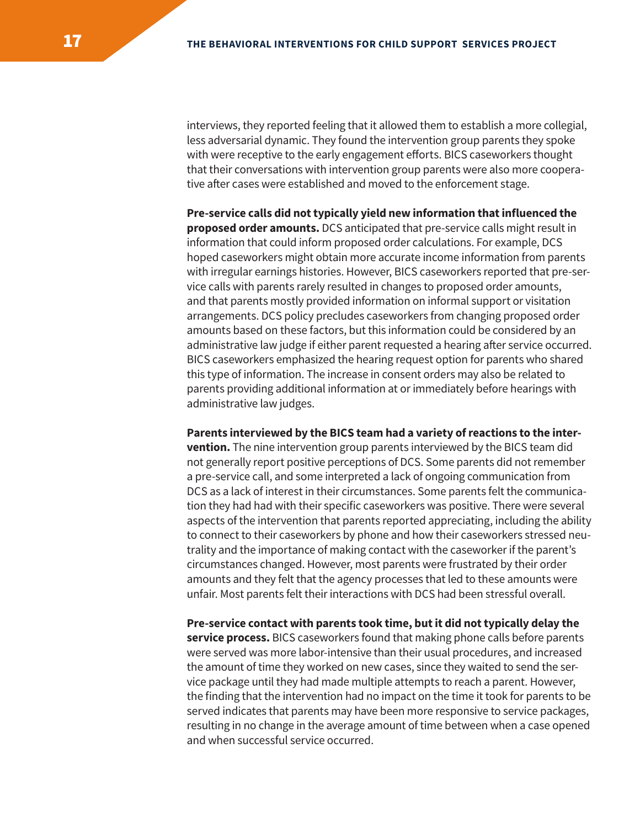interviews, they reported feeling that it allowed them to establish a more collegial, less adversarial dynamic. They found the intervention group parents they spoke with were receptive to the early engagement efforts. BICS caseworkers thought that their conversations with intervention group parents were also more cooperative after cases were established and moved to the enforcement stage.

**Pre-service calls did not typically yield new information that influenced the proposed order amounts.** DCS anticipated that pre-service calls might result in information that could inform proposed order calculations. For example, DCS hoped caseworkers might obtain more accurate income information from parents with irregular earnings histories. However, BICS caseworkers reported that pre-service calls with parents rarely resulted in changes to proposed order amounts, and that parents mostly provided information on informal support or visitation arrangements. DCS policy precludes caseworkers from changing proposed order amounts based on these factors, but this information could be considered by an administrative law judge if either parent requested a hearing after service occurred. BICS caseworkers emphasized the hearing request option for parents who shared this type of information. The increase in consent orders may also be related to parents providing additional information at or immediately before hearings with administrative law judges.

**Parents interviewed by the BICS team had a variety of reactions to the intervention.** The nine intervention group parents interviewed by the BICS team did not generally report positive perceptions of DCS. Some parents did not remember a pre-service call, and some interpreted a lack of ongoing communication from DCS as a lack of interest in their circumstances. Some parents felt the communication they had had with their specific caseworkers was positive. There were several aspects of the intervention that parents reported appreciating, including the ability to connect to their caseworkers by phone and how their caseworkers stressed neutrality and the importance of making contact with the caseworker if the parent's circumstances changed. However, most parents were frustrated by their order amounts and they felt that the agency processes that led to these amounts were unfair. Most parents felt their interactions with DCS had been stressful overall.

**Pre-service contact with parents took time, but it did not typically delay the service process.** BICS caseworkers found that making phone calls before parents were served was more labor-intensive than their usual procedures, and increased the amount of time they worked on new cases, since they waited to send the service package until they had made multiple attempts to reach a parent. However, the finding that the intervention had no impact on the time it took for parents to be served indicates that parents may have been more responsive to service packages, resulting in no change in the average amount of time between when a case opened and when successful service occurred.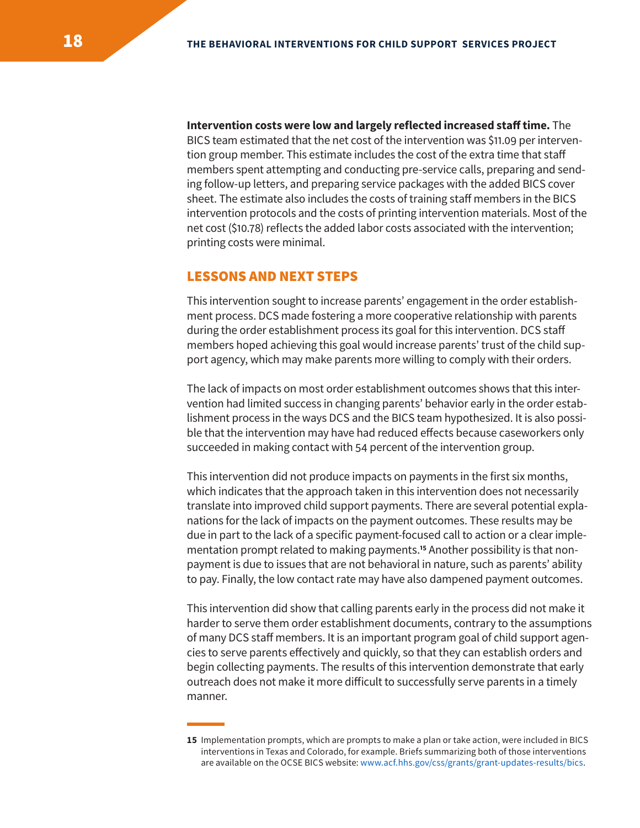**Intervention costs were low and largely reflected increased staff time.** The BICS team estimated that the net cost of the intervention was \$11.09 per intervention group member. This estimate includes the cost of the extra time that staff members spent attempting and conducting pre-service calls, preparing and sending follow-up letters, and preparing service packages with the added BICS cover sheet. The estimate also includes the costs of training staff members in the BICS intervention protocols and the costs of printing intervention materials. Most of the net cost (\$10.78) reflects the added labor costs associated with the intervention; printing costs were minimal.

## LESSONS AND NEXT STEPS

This intervention sought to increase parents' engagement in the order establishment process. DCS made fostering a more cooperative relationship with parents during the order establishment process its goal for this intervention. DCS staff members hoped achieving this goal would increase parents' trust of the child support agency, which may make parents more willing to comply with their orders.

The lack of impacts on most order establishment outcomes shows that this intervention had limited success in changing parents' behavior early in the order establishment process in the ways DCS and the BICS team hypothesized. It is also possible that the intervention may have had reduced effects because caseworkers only succeeded in making contact with 54 percent of the intervention group.

This intervention did not produce impacts on payments in the first six months, which indicates that the approach taken in this intervention does not necessarily translate into improved child support payments. There are several potential explanations for the lack of impacts on the payment outcomes. These results may be due in part to the lack of a specific payment-focused call to action or a clear implementation prompt related to making payments.**15** Another possibility is that nonpayment is due to issues that are not behavioral in nature, such as parents' ability to pay. Finally, the low contact rate may have also dampened payment outcomes.

This intervention did show that calling parents early in the process did not make it harder to serve them order establishment documents, contrary to the assumptions of many DCS staff members. It is an important program goal of child support agencies to serve parents effectively and quickly, so that they can establish orders and begin collecting payments. The results of this intervention demonstrate that early outreach does not make it more difficult to successfully serve parents in a timely manner.

**<sup>15</sup>** Implementation prompts, which are prompts to make a plan or take action, were included in BICS interventions in Texas and Colorado, for example. Briefs summarizing both of those interventions are available on the OCSE BICS website: www.acf.hhs.gov/css/grants/grant-updates-results/bics.